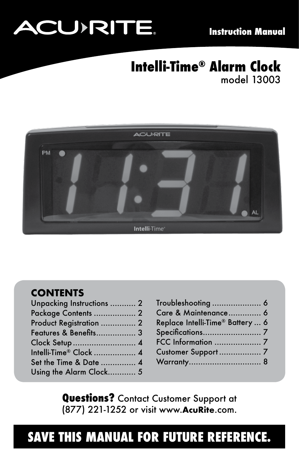# **ACU>RITE.**

### **Intelli-Time® Alarm Clock** model 13003



### **CONTENTS**

| Unpacking Instructions  2 |  |
|---------------------------|--|
| Package Contents  2       |  |
| Product Registration  2   |  |
| Features & Benefits 3     |  |
| Clock Setup  4            |  |
| Intelli-Time® Clock  4    |  |
| Set the Time & Date  4    |  |
| Using the Alarm Clock 5   |  |
|                           |  |

| Troubleshooting  6               |  |
|----------------------------------|--|
| Care & Maintenance 6             |  |
| Replace Intelli-Time® Battery  6 |  |
|                                  |  |
|                                  |  |
| Customer Support  7              |  |
|                                  |  |

**Questions?** Contact Customer Support at (877) 221-1252 or visit www.**AcuRite**.com.

### **SAVE THIS MANUAL FOR FUTURE REFERENCE.**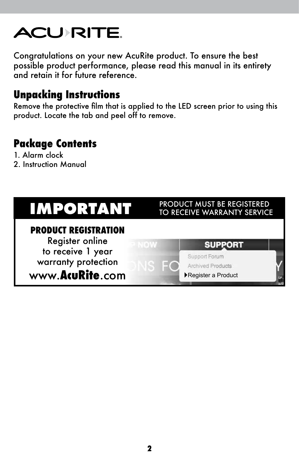## **ACU RITE**

Congratulations on your new AcuRite product. To ensure the best possible product performance, please read this manual in its entirety and retain it for future reference.

### **Unpacking Instructions**

Remove the protective film that is applied to the LED screen prior to using this product. Locate the tab and peel off to remove.

### **Package Contents**

- 1. Alarm clock
- 2. Instruction Manual

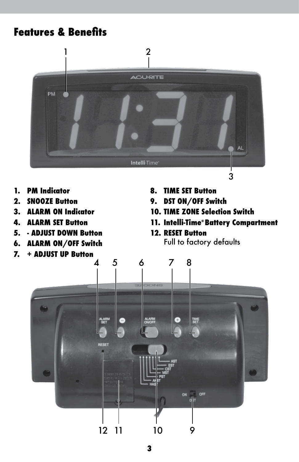### **Features & Benefits**



- **1. PM Indicator**
- **2. SNOOZE Button**
- **3. ALARM ON Indicator**
- **4. ALARM SET Button**
- **5. ADJUST DOWN Button**
- **6. ALARM ON/OFF Switch**
- **7. + ADJUST UP Button**
- **8. TIME SET Button**
- **9. DST ON/OFF Switch**
- **10. TIME ZONE Selection Switch**
- **11. Intelli-Time® Battery Compartment**
- **12. RESET Button** Full to factory defaults

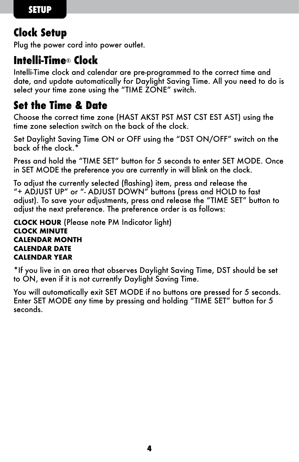### **Clock Setup**

Plug the power cord into power outlet.

### **Intelli-Time**® **Clock**

Intelli-Time clock and calendar are pre-programmed to the correct time and date, and update automatically for Daylight Saving Time. All you need to do is select your time zone using the "TIME ZONE" switch.

### **Set the Time & Date**

Choose the correct time zone (HAST AKST PST MST CST EST AST) using the time zone selection switch on the back of the clock.

Set Daylight Saving Time ON or OFF using the "DST ON/OFF" switch on the back of the clock. $^{\circ}$ 

Press and hold the "TIME SET" button for 5 seconds to enter SET MODE. Once in SET MODE the preference you are currently in will blink on the clock.

To adjust the currently selected (flashing) item, press and release the "+ ADJUST UP" or "- ADJUST DOWN" buttons (press and HOLD to fast adjust). To save your adjustments, press and release the "TIME SET" button to adjust the next preference. The preference order is as follows:

**CLOCK HOUR** (Please note PM Indicator light) **CLOCK MINUTE CALENDAR MONTH CALENDAR DATE CALENDAR YEAR**

\*If you live in an area that observes Daylight Saving Time, DST should be set to ON, even if it is not currently Daylight Saving Time.

You will automatically exit SET MODE if no buttons are pressed for 5 seconds. Enter SET MODE any time by pressing and holding "TIME SET" button for 5 seconds.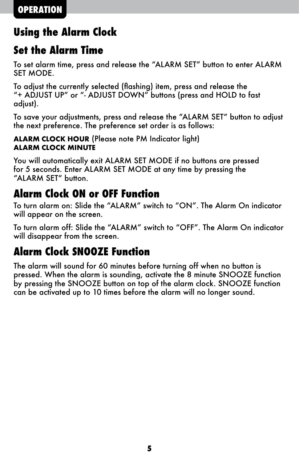### **Using the Alarm Clock**

### **Set the Alarm Time**

To set alarm time, press and release the "ALARM SET" button to enter ALARM SET MODE.

To adjust the currently selected (flashing) item, press and release the "+ ADJUST UP" or "- ADJUST DOWN" buttons (press and HOLD to fast adjust).

To save your adjustments, press and release the "ALARM SET" button to adjust the next preference. The preference set order is as follows:

#### **ALARM CLOCK HOUR** (Please note PM Indicator light) **ALARM CLOCK MINUTE**

You will automatically exit ALARM SET MODE if no buttons are pressed for 5 seconds. Enter ALARM SET MODE at any time by pressing the "ALARM SET" button.

### **Alarm Clock ON or OFF Function**

To turn alarm on: Slide the "ALARM" switch to "ON". The Alarm On indicator will appear on the screen.

To turn alarm off: Slide the "ALARM" switch to "OFF". The Alarm On indicator will disappear from the screen.

### **Alarm Clock SNOOZE Function**

The alarm will sound for 60 minutes before turning off when no button is pressed. When the alarm is sounding, activate the 8 minute SNOOZE function by pressing the SNOOZE button on top of the alarm clock. SNOOZE function can be activated up to 10 times before the alarm will no longer sound.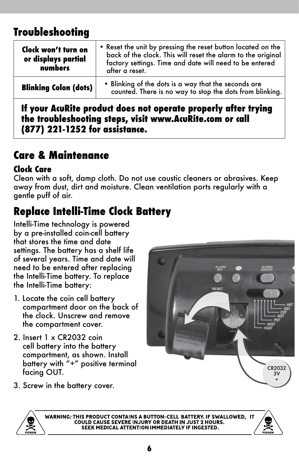### **Troubleshooting**

| Clock won't turn on<br>or displays partial<br>numbers | . Reset the unit by pressing the reset button located on the<br>back of the clock. This will reset the alarm to the original<br>factory settings. Time and date will need to be entered<br>after a reset. |
|-------------------------------------------------------|-----------------------------------------------------------------------------------------------------------------------------------------------------------------------------------------------------------|
| <b>Blinking Colon (dots)</b>                          | • Blinking of the dots is a way that the seconds are<br>counted. There is no way to stop the dots from blinking.                                                                                          |
|                                                       |                                                                                                                                                                                                           |

**If your AcuRite product does not operate properly after trying the troubleshooting steps, visit www.AcuRite.com or call (877) 221-1252 for assistance.**

### **Care & Maintenance**

#### **Clock Care**

Clean with a soft, damp cloth. Do not use caustic cleaners or abrasives. Keep away from dust, dirt and moisture. Clean ventilation ports regularly with a gentle puff of air.

### **Replace Intelli-Time Clock Battery**

Intelli-Time technology is powered by a pre-installed coin-cell battery that stores the time and date settings. The battery has a shelf life of several years. Time and date will need to be entered after replacing the Intelli-Time battery. To replace the Intelli-Time battery:

- 1. Locate the coin cell battery compartment door on the back of the clock. Unscrew and remove the compartment cover.
- 2. Insert 1 x CR2032 coin cell battery into the battery compartment, as shown. Install battery with "+" positive terminal facing OUT.
- 3. Screw in the battery cover.





WARNING: THIS PRODUCT CONTAINS A BUTTON-CELL BATTERY. IF SWALLOWED, IT COULD CAUSE SEVERE INJURY OR DEATH IN JUST 2 HOURS. SEEK MEDICAL ATTENTION IMMEDIATELY IF INGESTED.

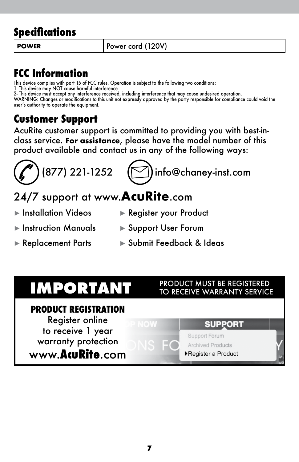### **Specifications**

**POWER** Power cord (120V)

### **FCC Information**

This device complies with part 15 of FCC rules. Operation is subject to the following two conditions: 1- This device may NOT cause harmful interference

2- This device must accept any interterence received, including interterence that may cause undesired operation.<br>WARNING: Changes or modifications to this unit not expressly approved by the party responsible for compliance user's authority to operate the equipment.

### **Customer Support**

AcuRite customer support is committed to providing you with best-inclass service. **For assistance**, please have the model number of this product available and contact us in any of the following ways:





### 24/7 support at www.**AcuRite**.com

- ► Installation Videos ► Register your Product
- ► Instruction Manuals ► Support User Forum
- 
- ► Replacement Parts ► Submit Feedback & Ideas

#### **PRODUCT REGISTRATION**

Register online to receive 1 year warranty protection

www.**AcuRite**.com

#### **IMPORTANT** PRODUCT MUST BE REGISTERED TO RECEIVE WARRANTY SERVICE

### **SUPPORT**

#### Support Forum

#### **Archived Products** ►Register a Product